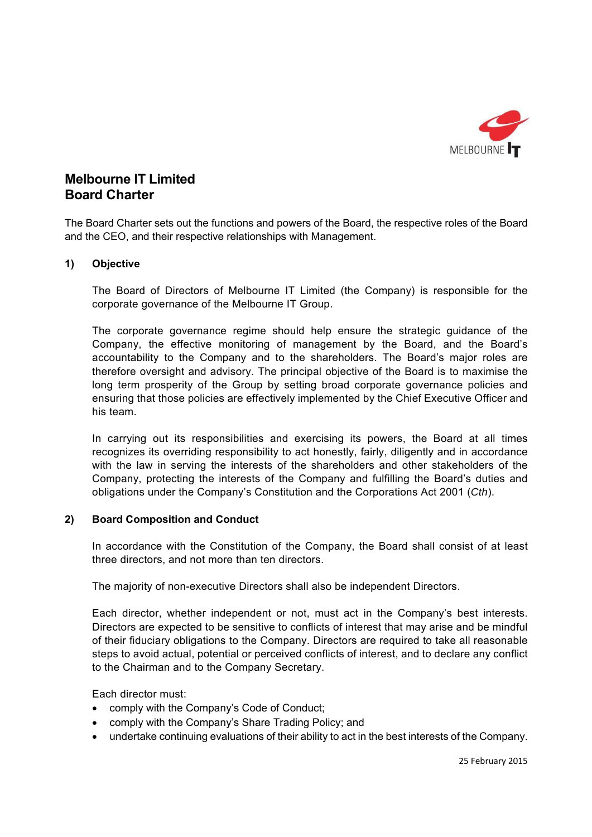

# **Melbourne IT Limited Board Charter**

The Board Charter sets out the functions and powers of the Board, the respective roles of the Board and the CEO, and their respective relationships with Management.

## **1) Objective**

The Board of Directors of Melbourne IT Limited (the Company) is responsible for the corporate governance of the Melbourne IT Group.

The corporate governance regime should help ensure the strategic guidance of the Company, the effective monitoring of management by the Board, and the Board's accountability to the Company and to the shareholders. The Board's major roles are therefore oversight and advisory. The principal objective of the Board is to maximise the long term prosperity of the Group by setting broad corporate governance policies and ensuring that those policies are effectively implemented by the Chief Executive Officer and his team.

In carrying out its responsibilities and exercising its powers, the Board at all times recognizes its overriding responsibility to act honestly, fairly, diligently and in accordance with the law in serving the interests of the shareholders and other stakeholders of the Company, protecting the interests of the Company and fulfilling the Board's duties and obligations under the Company's Constitution and the Corporations Act 2001 (*Cth*).

#### **2) Board Composition and Conduct**

In accordance with the Constitution of the Company, the Board shall consist of at least three directors, and not more than ten directors.

The majority of non-executive Directors shall also be independent Directors.

Each director, whether independent or not, must act in the Company's best interests. Directors are expected to be sensitive to conflicts of interest that may arise and be mindful of their fiduciary obligations to the Company. Directors are required to take all reasonable steps to avoid actual, potential or perceived conflicts of interest, and to declare any conflict to the Chairman and to the Company Secretary.

Each director must:

- comply with the Company's Code of Conduct;
- comply with the Company's Share Trading Policy; and
- undertake continuing evaluations of their ability to act in the best interests of the Company.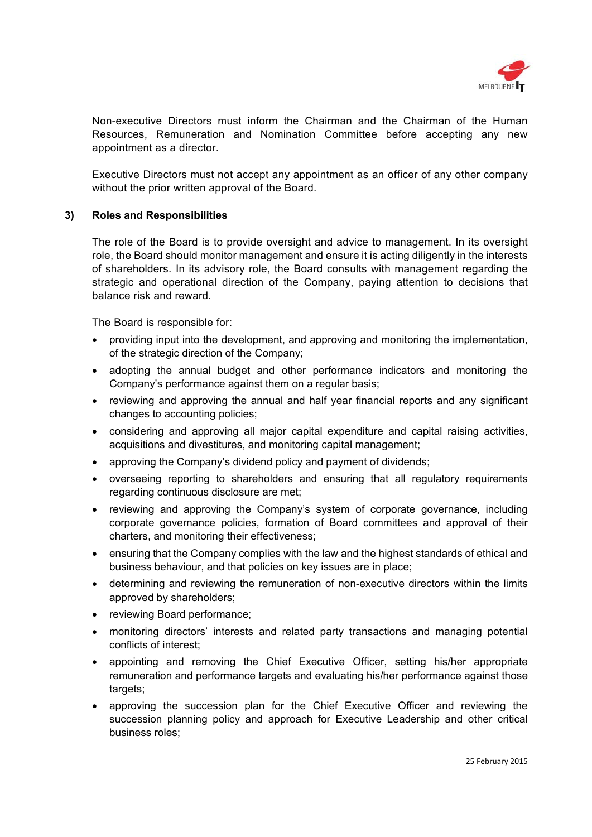

Non-executive Directors must inform the Chairman and the Chairman of the Human Resources, Remuneration and Nomination Committee before accepting any new appointment as a director.

Executive Directors must not accept any appointment as an officer of any other company without the prior written approval of the Board.

## **3) Roles and Responsibilities**

The role of the Board is to provide oversight and advice to management. In its oversight role, the Board should monitor management and ensure it is acting diligently in the interests of shareholders. In its advisory role, the Board consults with management regarding the strategic and operational direction of the Company, paying attention to decisions that balance risk and reward.

The Board is responsible for:

- providing input into the development, and approving and monitoring the implementation, of the strategic direction of the Company;
- adopting the annual budget and other performance indicators and monitoring the Company's performance against them on a regular basis;
- reviewing and approving the annual and half year financial reports and any significant changes to accounting policies;
- considering and approving all major capital expenditure and capital raising activities, acquisitions and divestitures, and monitoring capital management;
- approving the Company's dividend policy and payment of dividends;
- overseeing reporting to shareholders and ensuring that all regulatory requirements regarding continuous disclosure are met;
- reviewing and approving the Company's system of corporate governance, including corporate governance policies, formation of Board committees and approval of their charters, and monitoring their effectiveness;
- ensuring that the Company complies with the law and the highest standards of ethical and business behaviour, and that policies on key issues are in place;
- determining and reviewing the remuneration of non-executive directors within the limits approved by shareholders;
- reviewing Board performance;
- monitoring directors' interests and related party transactions and managing potential conflicts of interest;
- appointing and removing the Chief Executive Officer, setting his/her appropriate remuneration and performance targets and evaluating his/her performance against those targets;
- approving the succession plan for the Chief Executive Officer and reviewing the succession planning policy and approach for Executive Leadership and other critical business roles;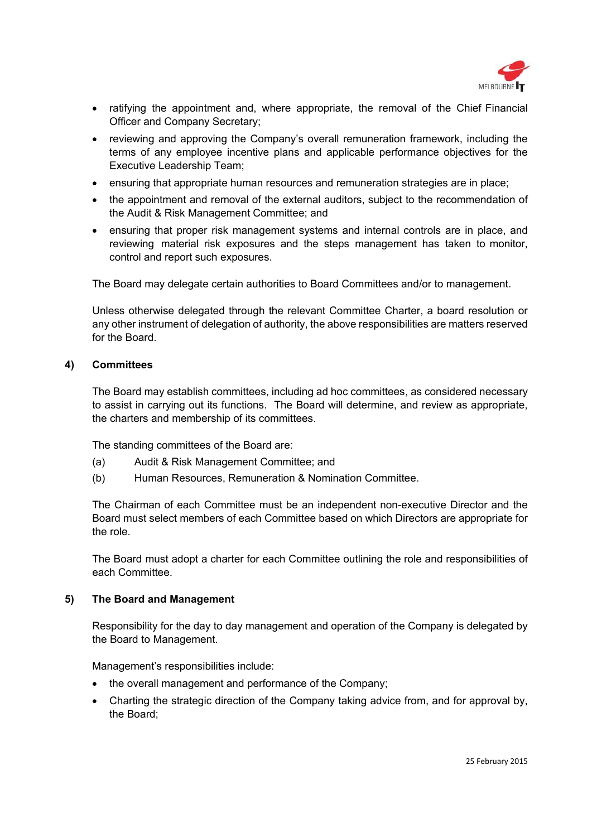

- ratifying the appointment and, where appropriate, the removal of the Chief Financial Officer and Company Secretary;
- reviewing and approving the Company's overall remuneration framework, including the terms of any employee incentive plans and applicable performance objectives for the Executive Leadership Team;
- ensuring that appropriate human resources and remuneration strategies are in place;
- the appointment and removal of the external auditors, subject to the recommendation of the Audit & Risk Management Committee; and
- ensuring that proper risk management systems and internal controls are in place, and reviewing material risk exposures and the steps management has taken to monitor, control and report such exposures.

The Board may delegate certain authorities to Board Committees and/or to management.

Unless otherwise delegated through the relevant Committee Charter, a board resolution or any other instrument of delegation of authority, the above responsibilities are matters reserved for the Board.

#### **4) Committees**

The Board may establish committees, including ad hoc committees, as considered necessary to assist in carrying out its functions. The Board will determine, and review as appropriate, the charters and membership of its committees.

The standing committees of the Board are:

- (a) Audit & Risk Management Committee; and
- (b) Human Resources, Remuneration & Nomination Committee.

The Chairman of each Committee must be an independent non-executive Director and the Board must select members of each Committee based on which Directors are appropriate for the role.

The Board must adopt a charter for each Committee outlining the role and responsibilities of each Committee.

#### **5) The Board and Management**

Responsibility for the day to day management and operation of the Company is delegated by the Board to Management.

Management's responsibilities include:

- the overall management and performance of the Company;
- Charting the strategic direction of the Company taking advice from, and for approval by, the Board;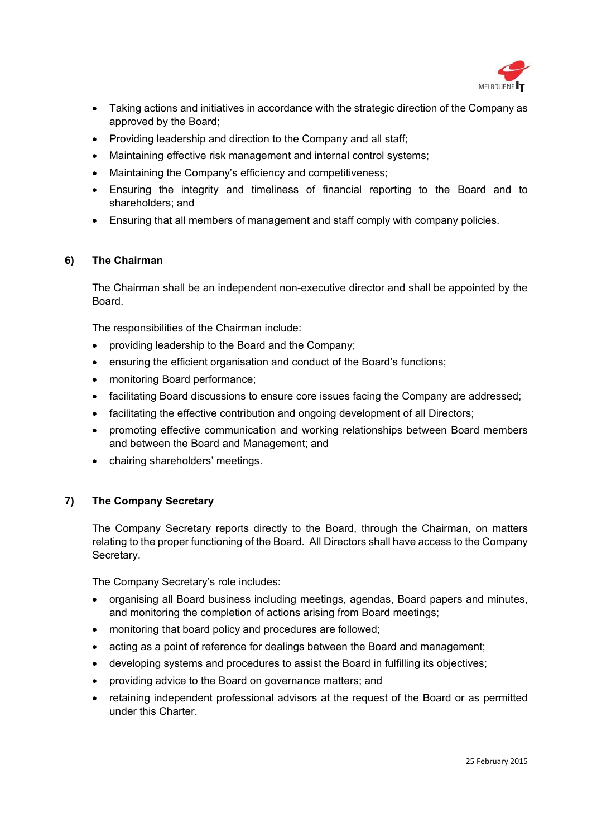

- Taking actions and initiatives in accordance with the strategic direction of the Company as approved by the Board;
- Providing leadership and direction to the Company and all staff;
- Maintaining effective risk management and internal control systems;
- Maintaining the Company's efficiency and competitiveness;
- Ensuring the integrity and timeliness of financial reporting to the Board and to shareholders; and
- Ensuring that all members of management and staff comply with company policies.

# **6) The Chairman**

The Chairman shall be an independent non-executive director and shall be appointed by the Board.

The responsibilities of the Chairman include:

- providing leadership to the Board and the Company;
- ensuring the efficient organisation and conduct of the Board's functions;
- monitoring Board performance;
- facilitating Board discussions to ensure core issues facing the Company are addressed;
- facilitating the effective contribution and ongoing development of all Directors;
- promoting effective communication and working relationships between Board members and between the Board and Management; and
- chairing shareholders' meetings.

# **7) The Company Secretary**

The Company Secretary reports directly to the Board, through the Chairman, on matters relating to the proper functioning of the Board. All Directors shall have access to the Company Secretary.

The Company Secretary's role includes:

- organising all Board business including meetings, agendas, Board papers and minutes, and monitoring the completion of actions arising from Board meetings;
- monitoring that board policy and procedures are followed;
- acting as a point of reference for dealings between the Board and management;
- developing systems and procedures to assist the Board in fulfilling its objectives;
- providing advice to the Board on governance matters; and
- retaining independent professional advisors at the request of the Board or as permitted under this Charter.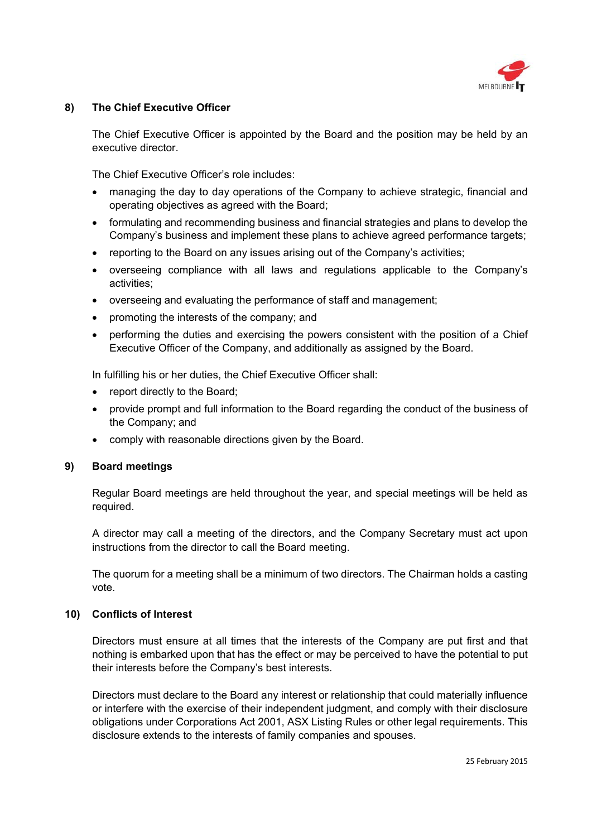

## **8) The Chief Executive Officer**

The Chief Executive Officer is appointed by the Board and the position may be held by an executive director.

The Chief Executive Officer's role includes:

- managing the day to day operations of the Company to achieve strategic, financial and operating objectives as agreed with the Board;
- formulating and recommending business and financial strategies and plans to develop the Company's business and implement these plans to achieve agreed performance targets;
- reporting to the Board on any issues arising out of the Company's activities;
- overseeing compliance with all laws and regulations applicable to the Company's activities;
- overseeing and evaluating the performance of staff and management;
- promoting the interests of the company; and
- performing the duties and exercising the powers consistent with the position of a Chief Executive Officer of the Company, and additionally as assigned by the Board.

In fulfilling his or her duties, the Chief Executive Officer shall:

- report directly to the Board;
- provide prompt and full information to the Board regarding the conduct of the business of the Company; and
- comply with reasonable directions given by the Board.

#### **9) Board meetings**

Regular Board meetings are held throughout the year, and special meetings will be held as required.

A director may call a meeting of the directors, and the Company Secretary must act upon instructions from the director to call the Board meeting.

The quorum for a meeting shall be a minimum of two directors. The Chairman holds a casting vote.

# **10) Conflicts of Interest**

Directors must ensure at all times that the interests of the Company are put first and that nothing is embarked upon that has the effect or may be perceived to have the potential to put their interests before the Company's best interests.

Directors must declare to the Board any interest or relationship that could materially influence or interfere with the exercise of their independent judgment, and comply with their disclosure obligations under Corporations Act 2001, ASX Listing Rules or other legal requirements. This disclosure extends to the interests of family companies and spouses.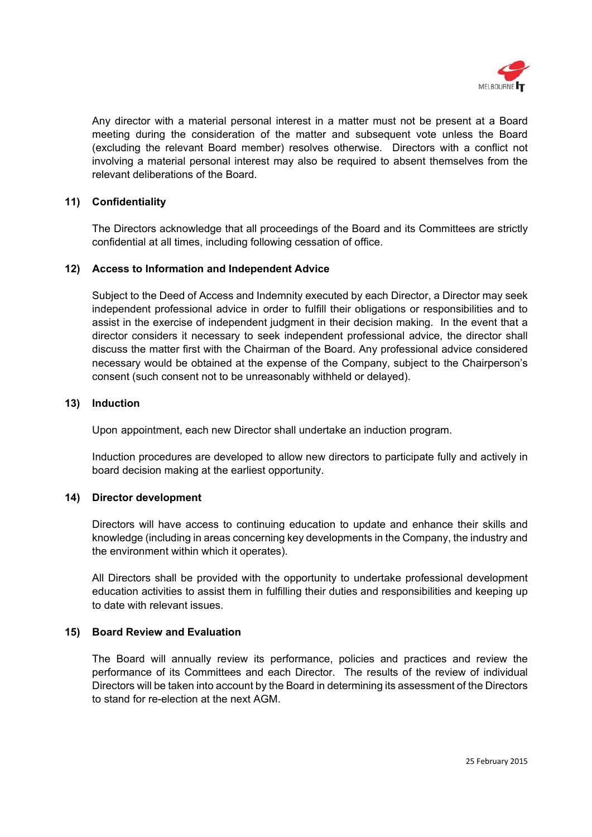

Any director with a material personal interest in a matter must not be present at a Board meeting during the consideration of the matter and subsequent vote unless the Board (excluding the relevant Board member) resolves otherwise. Directors with a conflict not involving a material personal interest may also be required to absent themselves from the relevant deliberations of the Board.

## **11) Confidentiality**

The Directors acknowledge that all proceedings of the Board and its Committees are strictly confidential at all times, including following cessation of office.

## **12) Access to Information and Independent Advice**

Subject to the Deed of Access and Indemnity executed by each Director, a Director may seek independent professional advice in order to fulfill their obligations or responsibilities and to assist in the exercise of independent judgment in their decision making. In the event that a director considers it necessary to seek independent professional advice, the director shall discuss the matter first with the Chairman of the Board. Any professional advice considered necessary would be obtained at the expense of the Company, subject to the Chairperson's consent (such consent not to be unreasonably withheld or delayed).

#### **13) Induction**

Upon appointment, each new Director shall undertake an induction program.

Induction procedures are developed to allow new directors to participate fully and actively in board decision making at the earliest opportunity.

# **14) Director development**

Directors will have access to continuing education to update and enhance their skills and knowledge (including in areas concerning key developments in the Company, the industry and the environment within which it operates).

All Directors shall be provided with the opportunity to undertake professional development education activities to assist them in fulfilling their duties and responsibilities and keeping up to date with relevant issues.

#### **15) Board Review and Evaluation**

The Board will annually review its performance, policies and practices and review the performance of its Committees and each Director. The results of the review of individual Directors will be taken into account by the Board in determining its assessment of the Directors to stand for re-election at the next AGM.